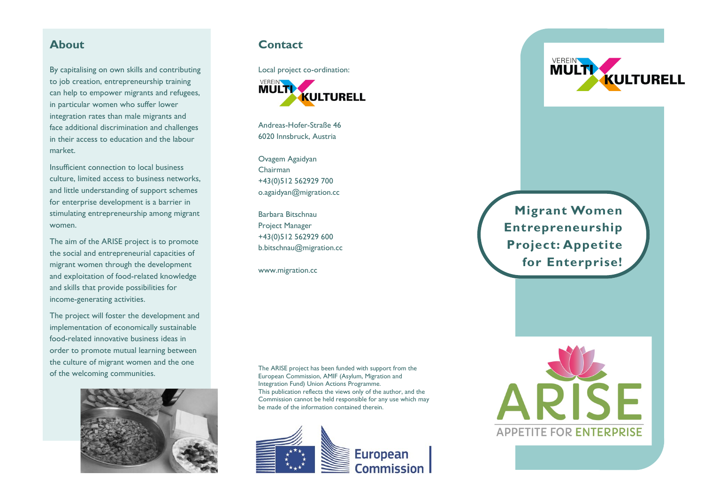By capitalising on own skills and contributing to job creation, entrepreneurship training can help to empower migrants and refugees, in particular women who suffer lower integration rates than male migrants and face additional discrimination and challenges in their access to education and the labour market.

Insufficient connection to local business culture, limited access to business networks, and little understanding of support schemes for enterprise development is a barrier in stimulating entrepreneurship among migrant women.

The aim of the ARISE project is to promote the social and entrepreneurial capacities of migrant women through the development and exploitation of food-related knowledge and skills that provide possibilities for income-generating activities.

The project will foster the development and implementation of economically sustainable food-related innovative business ideas in order to promote mutual learning between the culture of migrant women and the one of the welcoming communities.



## **About Contact**

Local project co-ordination: **VEREIN MULTI KULTURELL** 

Andreas-Hofer-Straße 46 6020 Innsbruck, Austria

Ovagem Agaidyan Chairman +43(0)512 562929 700 o.agaidyan@migration.cc

Barbara Bitschnau Project Manager +43(0)512 562929 600 b.bitschnau@migration.cc

www.migration.cc

The ARISE project has been funded with support from the European Commission, AMIF (Asylum, Migration and Integration Fund) Union Actions Programme. This publication reflects the views only of the author, and the Commission cannot be held responsible for any use which may be made of the information contained therein.



**VEREIN KULTURELL** 

**Migrant Women Entrepreneurship Project: Appetite for Enterprise!**

**APPETITE FOR ENTERPRISE**